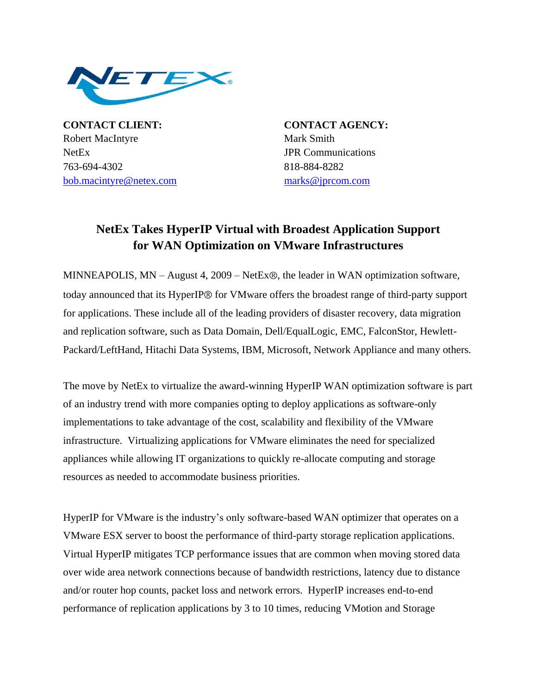

**CONTACT CLIENT: CONTACT AGENCY:** Robert MacIntyre Mark Smith NetEx JPR Communications 763-694-4302 818-884-8282 **hu[bob.macintyre@netex.com](mailto:bob.macintyre@netex.com)** [marks@jprcom.com](mailto:marks@jprcom.com)

## **NetEx Takes HyperIP Virtual with Broadest Application Support for WAN Optimization on VMware Infrastructures**

MINNEAPOLIS,  $MN - August 4$ ,  $2009 - NetEx\circledR$ , the leader in WAN optimization software, today announced that its HyperIP<sup>®</sup> for VMware offers the broadest range of third-party support for applications. These include all of the leading providers of disaster recovery, data migration and replication software, such as Data Domain, Dell/EqualLogic, EMC, FalconStor, Hewlett-Packard/LeftHand, Hitachi Data Systems, IBM, Microsoft, Network Appliance and many others.

The move by NetEx to virtualize the award-winning HyperIP WAN optimization software is part of an industry trend with more companies opting to deploy applications as software-only implementations to take advantage of the cost, scalability and flexibility of the VMware infrastructure. Virtualizing applications for VMware eliminates the need for specialized appliances while allowing IT organizations to quickly re-allocate computing and storage resources as needed to accommodate business priorities.

HyperIP for VMware is the industry's only software-based WAN optimizer that operates on a VMware ESX server to boost the performance of third-party storage replication applications. Virtual HyperIP mitigates TCP performance issues that are common when moving stored data over wide area network connections because of bandwidth restrictions, latency due to distance and/or router hop counts, packet loss and network errors. HyperIP increases end-to-end performance of replication applications by 3 to 10 times, reducing VMotion and Storage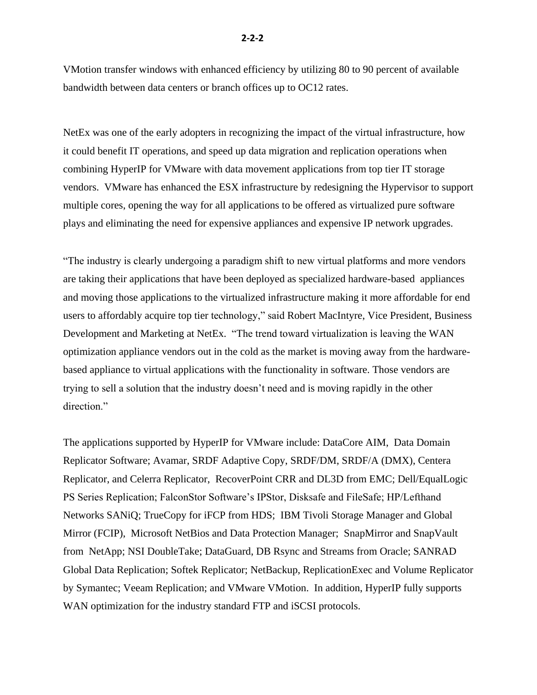NetEx was one of the early adopters in recognizing the impact of the virtual infrastructure, how it could benefit IT operations, and speed up data migration and replication operations when combining HyperIP for VMware with data movement applications from top tier IT storage vendors. VMware has enhanced the ESX infrastructure by redesigning the Hypervisor to support multiple cores, opening the way for all applications to be offered as virtualized pure software plays and eliminating the need for expensive appliances and expensive IP network upgrades.

"The industry is clearly undergoing a paradigm shift to new virtual platforms and more vendors are taking their applications that have been deployed as specialized hardware-based appliances and moving those applications to the virtualized infrastructure making it more affordable for end users to affordably acquire top tier technology," said Robert MacIntyre, Vice President, Business Development and Marketing at NetEx. "The trend toward virtualization is leaving the WAN optimization appliance vendors out in the cold as the market is moving away from the hardwarebased appliance to virtual applications with the functionality in software. Those vendors are trying to sell a solution that the industry doesn't need and is moving rapidly in the other direction."

The applications supported by HyperIP for VMware include: DataCore AIM, Data Domain Replicator Software; Avamar, SRDF Adaptive Copy, SRDF/DM, SRDF/A (DMX), Centera Replicator, and Celerra Replicator, RecoverPoint CRR and DL3D from EMC; Dell/EqualLogic PS Series Replication; FalconStor Software's IPStor, Disksafe and FileSafe; HP/Lefthand Networks SANiQ; TrueCopy for iFCP from HDS; IBM Tivoli Storage Manager and Global Mirror (FCIP), Microsoft NetBios and Data Protection Manager; SnapMirror and SnapVault from NetApp; NSI DoubleTake; DataGuard, DB Rsync and Streams from Oracle; SANRAD Global Data Replication; Softek Replicator; NetBackup, ReplicationExec and Volume Replicator by Symantec; Veeam Replication; and VMware VMotion. In addition, HyperIP fully supports WAN optimization for the industry standard FTP and iSCSI protocols.

bandwidth between data centers or branch offices up to OC12 rates.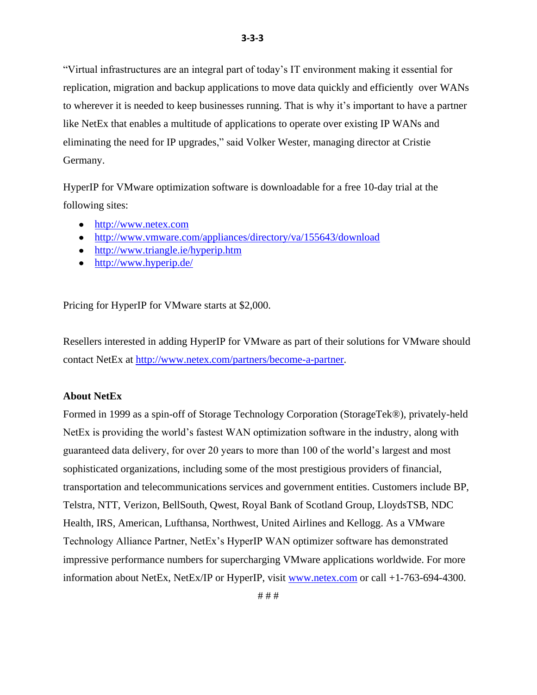"Virtual infrastructures are an integral part of today's IT environment making it essential for replication, migration and backup applications to move data quickly and efficiently over WANs to wherever it is needed to keep businesses running. That is why it's important to have a partner like NetEx that enables a multitude of applications to operate over existing IP WANs and eliminating the need for IP upgrades," said Volker Wester, managing director at Cristie Germany.

HyperIP for VMware optimization software is downloadable for a free 10-day trial at the following sites:

- [http://www.netex.com](http://www.netex.com/)
- <http://www.vmware.com/appliances/directory/va/155643/download>
- <http://www.triangle.ie/hyperip.htm>
- $\bullet$  <http://www.hyperip.de/>

Pricing for HyperIP for VMware starts at \$2,000.

Resellers interested in adding HyperIP for VMware as part of their solutions for VMware should contact NetEx at <http://www.netex.com/partners/become-a-partner>.

## **About NetEx**

Formed in 1999 as a spin-off of Storage Technology Corporation (StorageTek®), privately-held NetEx is providing the world's fastest WAN optimization software in the industry, along with guaranteed data delivery, for over 20 years to more than 100 of the world's largest and most sophisticated organizations, including some of the most prestigious providers of financial, transportation and telecommunications services and government entities. Customers include BP, Telstra, NTT, Verizon, BellSouth, Qwest, Royal Bank of Scotland Group, LloydsTSB, NDC Health, IRS, American, Lufthansa, Northwest, United Airlines and Kellogg. As a VMware Technology Alliance Partner, NetEx's HyperIP WAN optimizer software has demonstrated impressive performance numbers for supercharging VMware applications worldwide. For more information about NetEx, NetEx/IP or HyperIP, visit *[www.netex.com](http://www.netex.com/)* or call +1-763-694-4300.